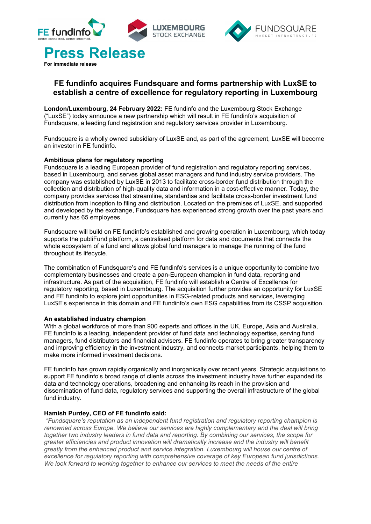



# **FE fundinfo acquires Fundsquare and forms partnership with LuxSE to establish a centre of excellence for regulatory reporting in Luxembourg**

**London/Luxembourg, 24 February 2022:** FE fundinfo and the Luxembourg Stock Exchange ("LuxSE") today announce a new partnership which will result in FE fundinfo's acquisition of Fundsquare, a leading fund registration and regulatory services provider in Luxembourg.

Fundsquare is a wholly owned subsidiary of LuxSE and, as part of the agreement, LuxSE will become an investor in FE fundinfo.

## **Ambitious plans for regulatory reporting**

Fundsquare is a leading European provider of fund registration and regulatory reporting services, based in Luxembourg, and serves global asset managers and fund industry service providers. The company was established by LuxSE in 2013 to facilitate cross-border fund distribution through the collection and distribution of high-quality data and information in a cost-effective manner. Today, the company provides services that streamline, standardise and facilitate cross-border investment fund distribution from inception to filing and distribution. Located on the premises of LuxSE, and supported and developed by the exchange, Fundsquare has experienced strong growth over the past years and currently has 65 employees.

Fundsquare will build on FE fundinfo's established and growing operation in Luxembourg, which today supports the publiFund platform, a centralised platform for data and documents that connects the whole ecosystem of a fund and allows global fund managers to manage the running of the fund throughout its lifecycle.

The combination of Fundsquare's and FE fundinfo's services is a unique opportunity to combine two complementary businesses and create a pan-European champion in fund data, reporting and infrastructure. As part of the acquisition, FE fundinfo will establish a Centre of Excellence for regulatory reporting, based in Luxembourg. The acquisition further provides an opportunity for LuxSE and FE fundinfo to explore joint opportunities in ESG-related products and services, leveraging LuxSE's experience in this domain and FE fundinfo's own ESG capabilities from its CSSP acquisition.

### **An established industry champion**

With a global workforce of more than 900 experts and offices in the UK, Europe, Asia and Australia, FE fundinfo is a leading, independent provider of fund data and technology expertise, serving fund managers, fund distributors and financial advisers. FE fundinfo operates to bring greater transparency and improving efficiency in the investment industry, and connects market participants, helping them to make more informed investment decisions.

FE fundinfo has grown rapidly organically and inorganically over recent years. Strategic acquisitions to support FE fundinfo's broad range of clients across the investment industry have further expanded its data and technology operations, broadening and enhancing its reach in the provision and dissemination of fund data, regulatory services and supporting the overall infrastructure of the global fund industry.

## **Hamish Purdey, CEO of FE fundinfo said:**

*"Fundsquare's reputation as an independent fund registration and regulatory reporting champion is renowned across Europe. We believe our services are highly complementary and the deal will bring together two industry leaders in fund data and reporting. By combining our services, the scope for greater efficiencies and product innovation will dramatically increase and the industry will benefit greatly from the enhanced product and service integration. Luxembourg will house our centre of excellence for regulatory reporting with comprehensive coverage of key European fund jurisdictions. We look forward to working together to enhance our services to meet the needs of the entire*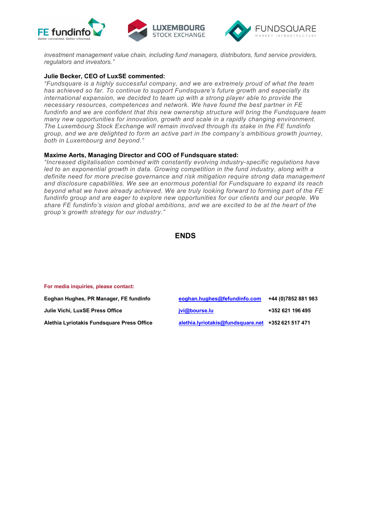



*investment management value chain, including fund managers, distributors, fund service providers, regulators and investors."* 

### **Julie Becker, CEO of LuxSE commented:**

*"Fundsquare is a highly successful company, and we are extremely proud of what the team has achieved so far. To continue to support Fundsquare's future growth and especially its international expansion, we decided to team up with a strong player able to provide the necessary resources, competences and network. We have found the best partner in FE fundinfo and we are confident that this new ownership structure will bring the Fundsquare team many new opportunities for innovation, growth and scale in a rapidly changing environment. The Luxembourg Stock Exchange will remain involved through its stake in the FE fundinfo group, and we are delighted to form an active part in the company's ambitious growth journey, both in Luxembourg and beyond."* 

### **Maxime Aerts, Managing Director and COO of Fundsquare stated:**

*"Increased digitalisation combined with constantly evolving industry-specific regulations have led to an exponential growth in data. Growing competition in the fund industry, along with a definite need for more precise governance and risk mitigation require strong data management and disclosure capabilities. We see an enormous potential for Fundsquare to expand its reach beyond what we have already achieved. We are truly looking forward to forming part of the FE fundinfo group and are eager to explore new opportunities for our clients and our people. We share FE fundinfo's vision and global ambitions, and we are excited to be at the heart of the group's growth strategy for our industry."* 

```
ENDS
```
#### **For media inquiries, please contact:**

**Eoghan Hughes, PR Manager, FE fundinfo. Julie Vichi, LuxSE Press Office Alethia Lyriotakis Fundsquare Press Office** 

| eoghan.hughes@fefundinfo.com                    | +44 (0) 7852 881 983 |
|-------------------------------------------------|----------------------|
| jvi@bourse.lu                                   | +352 621 196 495     |
| alethia.lyriotakis@fundsquare.net +352621517471 |                      |